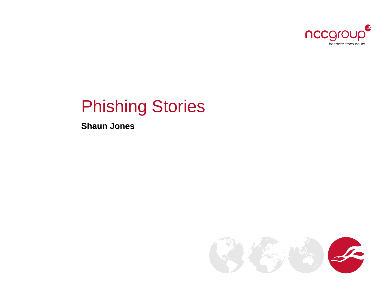

# Phishing Stories

**Shaun Jones**

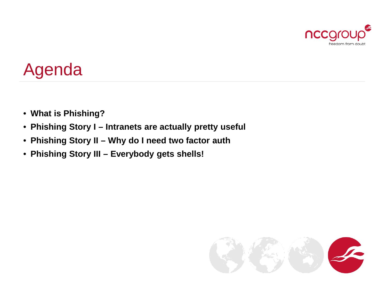

# Agenda

- **What is Phishing?**
- **Phishing Story I – Intranets are actually pretty useful**
- **Phishing Story II – Why do I need two factor auth**
- **Phishing Story III – Everybody gets shells!**

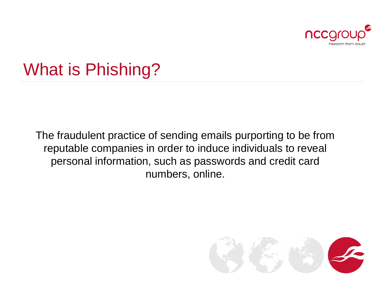

# What is Phishing?

The fraudulent practice of sending emails purporting to be from reputable companies in order to induce individuals to reveal personal information, such as passwords and credit card numbers, online.

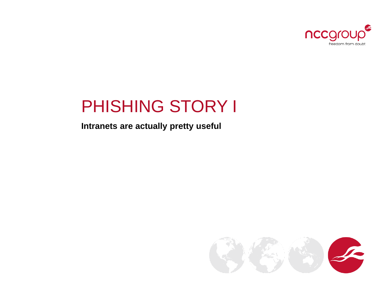

### PHISHING STORY I

#### Intranets are actually pretty useful

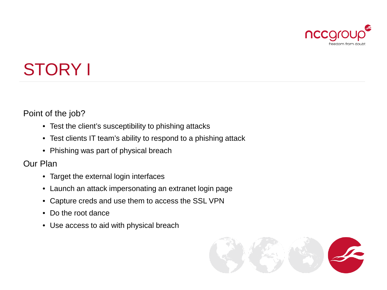

# STORY I

Point of the job?

- Test the client's susceptibility to phishing attacks
- Test clients IT team's ability to respond to a phishing attack
- Phishing was part of physical breach

Our Plan

- Target the external login interfaces
- Launch an attack impersonating an extranet login page
- Capture creds and use them to access the SSL VPN
- Do the root dance
- Use access to aid with physical breach

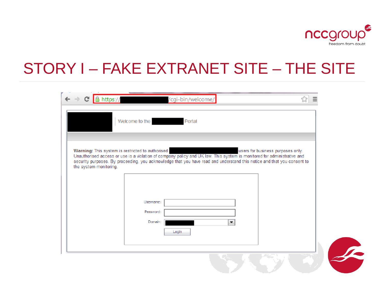

### STORY I – FAKE EXTRANET SITE – THE SITE

| $\leftarrow$ $\rightarrow$ C   Althps://                                   | /cgi-bin/welcome/                                                                                                                                                                                                                                                            |    |                                   |  |
|----------------------------------------------------------------------------|------------------------------------------------------------------------------------------------------------------------------------------------------------------------------------------------------------------------------------------------------------------------------|----|-----------------------------------|--|
|                                                                            | Welcome to the<br>Portal                                                                                                                                                                                                                                                     |    |                                   |  |
| Warning: This system is restricted to authorised<br>the system monitoring. | Unauthorised access or use is a violation of company policy and UK law. This system is monitored for administrative and<br>security purposes. By proceeding, you acknowledge that you have read and understand this notice and that you consent to<br>Username:<br>Password: |    | users for business purposes only. |  |
|                                                                            | Domain:<br>Login                                                                                                                                                                                                                                                             | ۰. |                                   |  |
|                                                                            |                                                                                                                                                                                                                                                                              |    |                                   |  |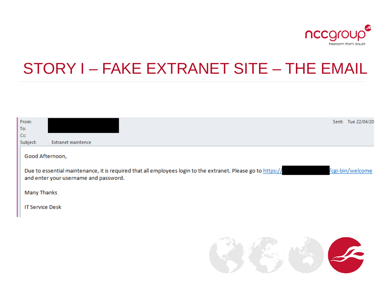

### STORY I – FAKE EXTRANET SITE – THE EMAIL

| From:                  |                                                                                                                                                       |                                                                                                                                                                                                                                | Sent: Tue 22/04/20 |
|------------------------|-------------------------------------------------------------------------------------------------------------------------------------------------------|--------------------------------------------------------------------------------------------------------------------------------------------------------------------------------------------------------------------------------|--------------------|
| To:                    |                                                                                                                                                       |                                                                                                                                                                                                                                |                    |
| Cc.                    |                                                                                                                                                       |                                                                                                                                                                                                                                |                    |
| Subject:               | <b>Extranet maintence</b>                                                                                                                             |                                                                                                                                                                                                                                |                    |
|                        | Good Afternoon,                                                                                                                                       |                                                                                                                                                                                                                                |                    |
|                        | Due to essential maintenance, it is required that all employees login to the extranet. Please go to https://<br>and enter your username and password. |                                                                                                                                                                                                                                | /cgi-bin/welcome   |
| <b>Many Thanks</b>     |                                                                                                                                                       |                                                                                                                                                                                                                                |                    |
| <b>IT Service Desk</b> |                                                                                                                                                       |                                                                                                                                                                                                                                |                    |
|                        |                                                                                                                                                       |                                                                                                                                                                                                                                |                    |
|                        |                                                                                                                                                       |                                                                                                                                                                                                                                |                    |
|                        |                                                                                                                                                       | and the company of the company of the company of the company of the company of the company of the company of the company of the company of the company of the company of the company of the company of the company of the comp |                    |

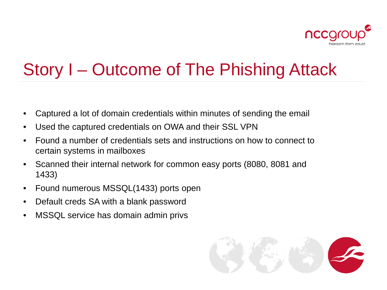

# Story I – Outcome of The Phishing Attack

- Captured a lot of domain credentials within minutes of sending the email
- Used the captured credentials on OWA and their SSL VPN
- Found a number of credentials sets and instructions on how to connect to certain systems in mailboxes
- Scanned their internal network for common easy ports (8080, 8081 and 1433)
- Found numerous MSSQL(1433) ports open
- Default creds SA with a blank password
- MSSQL service has domain admin privs

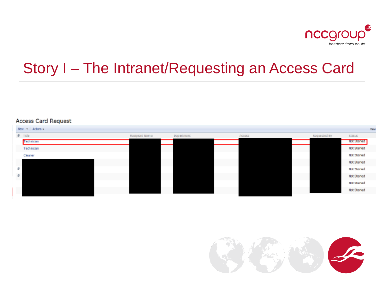

### Story I - The Intranet/Requesting an Access Card

#### **Access Card Request**

|    | New Actors - |                 |            |               |              | View               |
|----|--------------|-----------------|------------|---------------|--------------|--------------------|
|    | $0$ Title    | Nacipient Namie | Department | <b>ACCESS</b> | Requested by | <b>Status</b>      |
|    | Technician   |                 |            |               |              | Not Started        |
|    | Technician   |                 |            |               |              | Not Started        |
|    | Cleaner      |                 |            |               |              | Not started        |
|    |              |                 |            |               |              | Not Started        |
| a. |              |                 |            |               |              | Not Started        |
| a. |              |                 |            |               |              | Not Started        |
|    |              |                 |            |               |              | <b>Not Started</b> |
|    |              |                 |            |               |              | Not Started        |

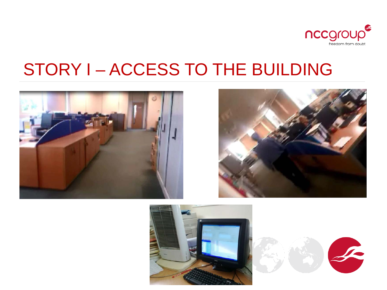

# STORY I – ACCESS TO THE BUILDING







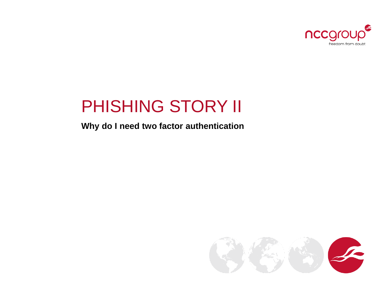

# PHISHING STORY II

### **Why do I need two factor authentication**

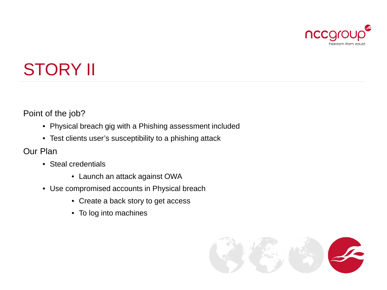

# STORY II

Point of the job?

- Physical breach gig with a Phishing assessment included
- Test clients user's susceptibility to a phishing attack

Our Plan

- Steal credentials
	- Launch an attack against OWA
- Use compromised accounts in Physical breach
	- Create a back story to get access
	- To log into machines

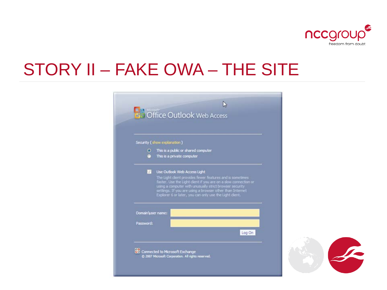

# STORY II – FAKE OWA – THE SITE

|                   | Security (show explanation)                                                                                                                                                                                                                                                                                                                   |
|-------------------|-----------------------------------------------------------------------------------------------------------------------------------------------------------------------------------------------------------------------------------------------------------------------------------------------------------------------------------------------|
| $\bullet$         | This is a public or shared computer<br>This is a private computer                                                                                                                                                                                                                                                                             |
| J.                | Use Outlook Web Access Light<br>The Light dient provides fewer features and is sometimes<br>faster. Use the Light client if you are on a slow connection or<br>using a computer with unusually strict browser security<br>settings. If you are using a browser other than Internet<br>Explorer 6 or later, you can only use the Light client. |
| Domain user name: |                                                                                                                                                                                                                                                                                                                                               |
| Password:         |                                                                                                                                                                                                                                                                                                                                               |
|                   | Log On                                                                                                                                                                                                                                                                                                                                        |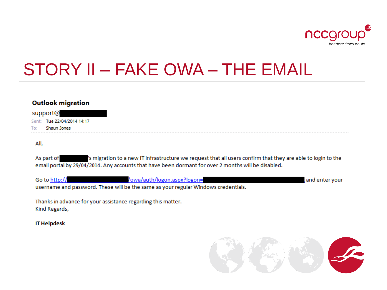

# STORY II - FAKE OWA - THE EMAIL

#### **Outlook migration**

support@ Sent: Tue 22/04/2014 14:17 To: Shaun Jones

#### All.

's migration to a new IT infrastructure we request that all users confirm that they are able to login to the As part of email portal by 29/04/2014. Any accounts that have been dormant for over 2 months will be disabled.

/owa/auth/logon.aspx?logon= Go to http:// and enter your username and password. These will be the same as your regular Windows credentials.

Thanks in advance for your assistance regarding this matter. Kind Regards,

**IT Helpdesk** 

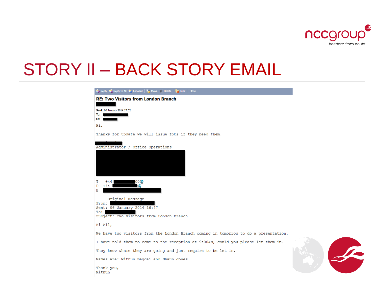

## STORY II – BACK STORY EMAIL

| <b>Reply C</b> Reply to All <b>C</b> Forward <b>F</b> Move $\times$ Delete <b>F</b> Junk Glose |
|------------------------------------------------------------------------------------------------|
| <b>RE: Two Visitors from London Branch</b>                                                     |
| Sent: 06 January 2014 17:52                                                                    |
| To:<br>cc:                                                                                     |
| Hi,                                                                                            |
| Thanks for update we will issue fobs if they need them.                                        |
| Administrator / Office Operations                                                              |
|                                                                                                |
|                                                                                                |
|                                                                                                |
|                                                                                                |
|                                                                                                |
| $00$ <b><math>Q</math></b><br>$+44$<br>т<br><b>RB</b><br>D<br>$+44$                            |
| Е                                                                                              |
| -----Original Message-----                                                                     |
| From:                                                                                          |
| Sent: 06 January 2014 16:47<br>To:                                                             |
| Subject: Two Visitors from London Branch                                                       |
| Hi All,                                                                                        |
| We have two visitors from the London Branch coming in tomorrow to do a presentation.           |
| I have told them to come to the reception at 9:00AM, could you please let them in.             |
| They know where they are going and just require to be let in.                                  |
| Names are: Mithun Bagdai and Shaun Jones.                                                      |



Thank you, Mithun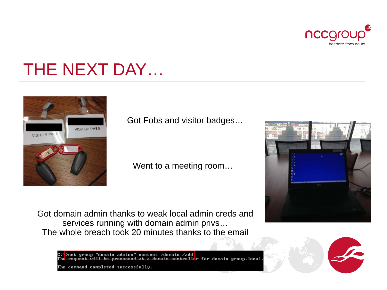

# THE NEXT DAY…



Got Fobs and visitor badges…

Went to a meeting room…

Got domain admin thanks to weak local admin creds and services running with domain admin privs… The whole breach took 20 minutes thanks to the email



"domain admins" nectest /domain /add net group for domain group.local. The command completed successfully.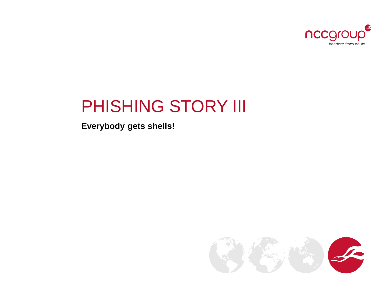

# PHISHING STORY III

**Everybody gets shells!**

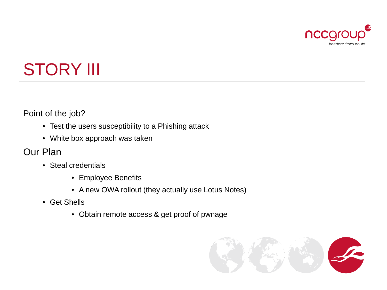

# STORY III

Point of the job?

- Test the users susceptibility to a Phishing attack
- White box approach was taken

### Our Plan

- Steal credentials
	- Employee Benefits
	- A new OWA rollout (they actually use Lotus Notes)
- Get Shells
	- Obtain remote access & get proof of pwnage

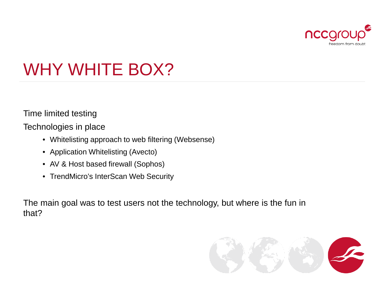

# WHY WHITE BOX?

Time limited testing

Technologies in place

- Whitelisting approach to web filtering (Websense)
- Application Whitelisting (Avecto)
- AV & Host based firewall (Sophos)
- TrendMicro's InterScan Web Security

The main goal was to test users not the technology, but where is the fun in that?

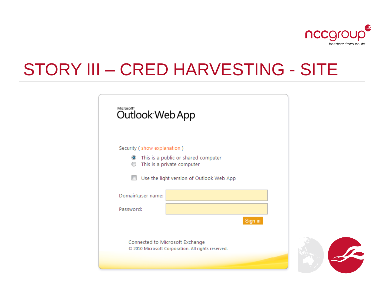

# STORY III – CRED HARVESTING - SITE

| Microsoft <sup>®</sup><br>Outlook Web App |                                                                                                               |         |  |
|-------------------------------------------|---------------------------------------------------------------------------------------------------------------|---------|--|
| Security (show explanation)<br>$\bullet$  | This is a public or shared computer<br>This is a private computer<br>Use the light version of Outlook Web App |         |  |
| Domain\user name:<br>Password:            |                                                                                                               |         |  |
| Connected to Microsoft Exchange           | © 2010 Microsoft Corporation. All rights reserved.                                                            | Sign in |  |
|                                           |                                                                                                               |         |  |

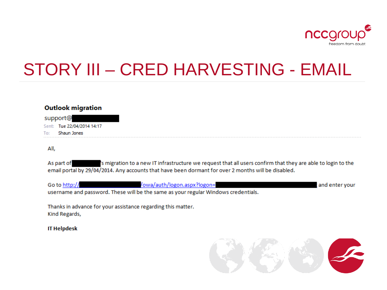

# STORY III - CRED HARVESTING - EMAIL

#### **Outlook migration**

support@ Sent: Tue 22/04/2014 14:17 Shaun Jones To:

All,

As part of 's migration to a new IT infrastructure we request that all users confirm that they are able to login to the email portal by 29/04/2014. Any accounts that have been dormant for over 2 months will be disabled.

| Go to http:// | /owa/auth/logon.aspx?logon=                                                        | and enter your |
|---------------|------------------------------------------------------------------------------------|----------------|
|               | username and password. These will be the same as your regular Windows credentials. |                |

Thanks in advance for your assistance regarding this matter. Kind Regards,

**IT Helpdesk** 

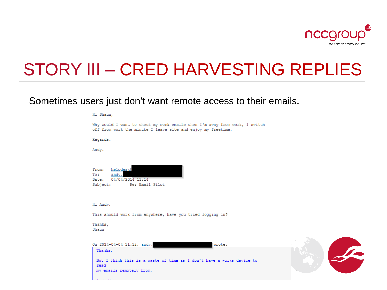

#### Sometimes users just don't want remote access to their emails.

Hi Shaun,

| Why would I want to check my work emails when I'm away from work, I switch<br>off from work the minute I leave site and enjoy my freetime. |  |
|--------------------------------------------------------------------------------------------------------------------------------------------|--|
| Regards.                                                                                                                                   |  |
| Andy.                                                                                                                                      |  |
| helpdesk@<br>From:<br>andy.<br>To:<br>Date: 04/04/2014 11:14<br>Subject: Re: Email Pilot                                                   |  |
| Hi Andy,                                                                                                                                   |  |
| This should work from anywhere, have you tried logging in?                                                                                 |  |
| Thanks,<br>Shaun                                                                                                                           |  |
| On 2014-04-04 11:12, andy.<br>wrote:                                                                                                       |  |
| Thanks,<br>But I think this is a waste of time as I don't have a works device to<br>read<br>my emails remotely from.                       |  |
|                                                                                                                                            |  |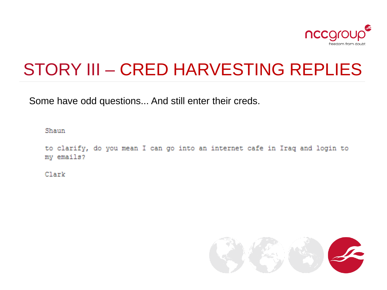

Some have odd questions... And still enter their creds.

Shaun

to clarify, do you mean I can go into an internet cafe in Iraq and login to my emails?

Clark

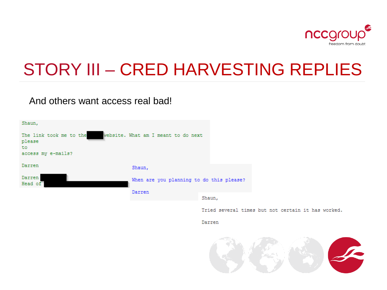

And others want access real bad!



Tried several times but not certain it has worked.

Darren

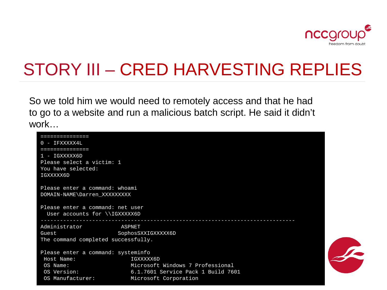

So we told him we would need to remotely access and that he had to go to a website and run a malicious batch script. He said it didn't work…

| ---------------                     |                                    |
|-------------------------------------|------------------------------------|
| $0 - IFXXXXX4L$                     |                                    |
| ------------                        |                                    |
| 1 - IGXXXXX6D                       |                                    |
| Please select a victim: 1           |                                    |
| You have selected:                  |                                    |
| IGXXXXX6D                           |                                    |
|                                     |                                    |
| Please enter a command: whoami      |                                    |
| DOMAIN-NAME\Darren XXXXXXXXX        |                                    |
| Please enter a command: net user    |                                    |
| User accounts for \\IGXXXXX6D       |                                    |
|                                     |                                    |
| Administrator<br>ASPNET             |                                    |
| Guest                               | SophosSXXIGXXXXX6D                 |
| The command completed successfully. |                                    |
|                                     |                                    |
| Please enter a command: systeminfo  |                                    |
| Host Name:                          | IGXXXXX6D                          |
| $OS$ Name:                          | Microsoft Windows 7 Professional   |
| OS Version:                         | 6.1.7601 Service Pack 1 Build 7601 |
| OS Manufacturer:                    | Microsoft Corporation              |

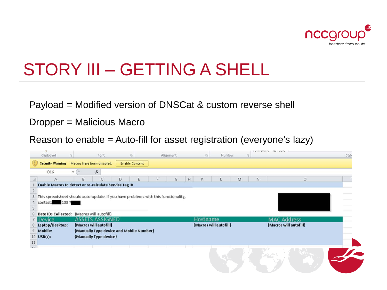

# STORY III – GETTING A SHELL

Payload = Modified version of DNSCat & custom reverse shell

Dropper = Malicious Macro

Reason to enable = Auto-fill for asset registration (everyone's lazy)

| ×                                                      |   |                            | $\mathbb{Z}$                                                                       |           |            |                        |              | LATINARITY AV IANIP    |       |
|--------------------------------------------------------|---|----------------------------|------------------------------------------------------------------------------------|-----------|------------|------------------------|--------------|------------------------|-------|
| Clipboard                                              | 探 | Font                       |                                                                                    | Alignment | $\sqrt{2}$ | <b>Number</b>          | $\mathbb{G}$ |                        | Styl- |
| <b>Security Warning</b>                                |   | Macros have been disabled. | <b>Enable Content</b>                                                              |           |            |                        |              |                        |       |
| O16                                                    |   | $f_x$                      |                                                                                    |           |            |                        |              |                        |       |
| А                                                      | B | C                          | D                                                                                  | G         | H<br>K     |                        | M<br>N       | $\circ$                |       |
| Enable Macros to detect or re-calculate Service Tag ID |   |                            |                                                                                    |           |            |                        |              |                        |       |
|                                                        |   |                            |                                                                                    |           |            |                        |              |                        |       |
| 3                                                      |   |                            | This spreadsheet should auto-update. If you have problems with this functionality, |           |            |                        |              |                        |       |
| contact: 1337<br>4                                     |   |                            |                                                                                    |           |            |                        |              |                        |       |
|                                                        |   |                            |                                                                                    |           |            |                        |              |                        |       |
| Date IDs Collected: {Macros will autofill}<br>6        |   |                            |                                                                                    |           |            |                        |              |                        |       |
| <b>Device</b>                                          |   | <b>ASSETS ASSIGNED</b>     |                                                                                    |           | Hostname   |                        |              | <b>MAC Address</b>     |       |
| Laptop/Desktop:                                        |   | {Macros will autofill}     |                                                                                    |           |            | {Macros will autofill} |              | {Macros will autofill} |       |
| 9 Mobile:                                              |   |                            | {Manually Type device and Mobile Number}                                           |           |            |                        |              |                        |       |
| $10$ USB(s):                                           |   | {Manually Type device}     |                                                                                    |           |            |                        |              |                        |       |
| $\frac{11}{2}$                                         |   |                            |                                                                                    |           |            |                        |              |                        |       |
| $\sim$                                                 |   |                            |                                                                                    |           |            |                        |              |                        |       |
|                                                        |   |                            |                                                                                    |           |            |                        |              |                        |       |
|                                                        |   |                            |                                                                                    |           |            |                        |              |                        |       |
|                                                        |   |                            |                                                                                    |           |            |                        |              |                        |       |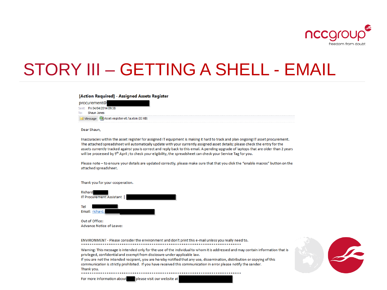

# STORY III - GETTING A SHELL - EMAIL

#### [Action Required] - Assigned Assets Register

procurement@ Sent: Fri 04/04/2014 09:38 Shaun Jones To: Message 20 Asset-register-v0.1a.xlsm (33 KB)

Dear Shaun,

Inaccuracies within the asset register for assigned IT equipment is making it hard to track and plan ongoing IT asset procurement. The attached spreadsheet will automatically update with your currently assigned asset details; please check the entry for the assets currently tracked against you is correct and reply back to this email. A pending upgrade of laptops that are older than 2 years will be processed by 9th April; to check your eligibility, the spreadsheet can check your Service Tag for you.

Please note - to ensure your details are updated correctly, please make sure that that you click the "enable macros" button on the attached spreadsheet.

Thank you for your cooperation.





ENVIRONMENT - Please consider the environment and don't print this e-mail unless you really need to. 

Warning: This message is intended only for the use of the individual to whom it is addressed and may contain information that is privileged, confidential and exempt from disclosure under applicable law.

If you are not the intended recipient, you are hereby notified that any use, dissemination, distribution or copying of this communication is strictly prohibited. If you have received this communication in error please notify the sender. Thank you.

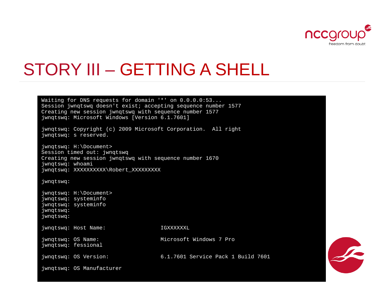

### STORY III – GETTING A SHELL

Waiting for DNS requests for domain '\*' on 0.0.0.0:53... Session jwnqtswq doesn't exist; accepting sequence number 1577 Creating new session jwnqtswq with sequence number 1577 jwnqtswq: Microsoft Windows [Version 6.1.7601] jwnqtswq: Copyright (c) 2009 Microsoft Corporation. All right jwnqtswq: s reserved. jwnqtswq: H:\Document> Session timed out: jwnqtswq Creating new session jwnqtswq with sequence number 1670 jwnqtswq: whoami jwnqtswq: XXXXXXXXXX\Robert\_XXXXXXXXX jwnqtswq: jwnqtswq: H:\Document> jwnqtswq: systeminfo jwnqtswq: systeminfo jwnqtswq: jwnqtswq: jwnqtswq: Host Name: IGXXXXXXL jwnqtswq: OS Name: Microsoft Windows 7 Pro jwnqtswq: fessional jwnqtswq: OS Version: 6.1.7601 Service Pack 1 Build 7601 jwnqtswq: OS Manufacturer

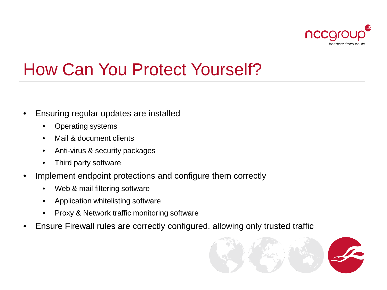

# How Can You Protect Yourself?

- Ensuring regular updates are installed
	- Operating systems
	- Mail & document clients
	- Anti-virus & security packages
	- Third party software
- Implement endpoint protections and configure them correctly
	- Web & mail filtering software
	- Application whitelisting software
	- Proxy & Network traffic monitoring software
- Ensure Firewall rules are correctly configured, allowing only trusted traffic

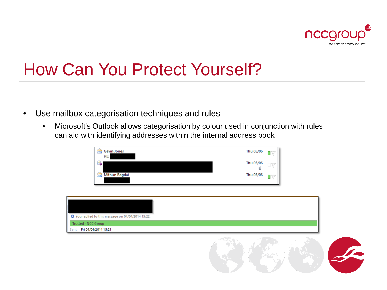

# How Can You Protect Yourself?

- Use mailbox categorisation techniques and rules
	- Microsoft's Outlook allows categorisation by colour used in conjunction with rules can aid with identifying addresses within the internal address book

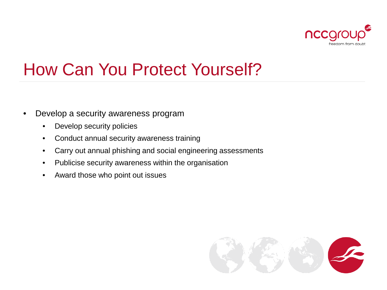

# How Can You Protect Yourself?

- Develop a security awareness program
	- Develop security policies
	- Conduct annual security awareness training
	- Carry out annual phishing and social engineering assessments
	- Publicise security awareness within the organisation
	- Award those who point out issues

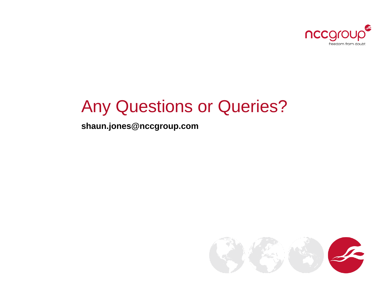

## Any Questions or Queries?

**shaun.jones@nccgroup.com**